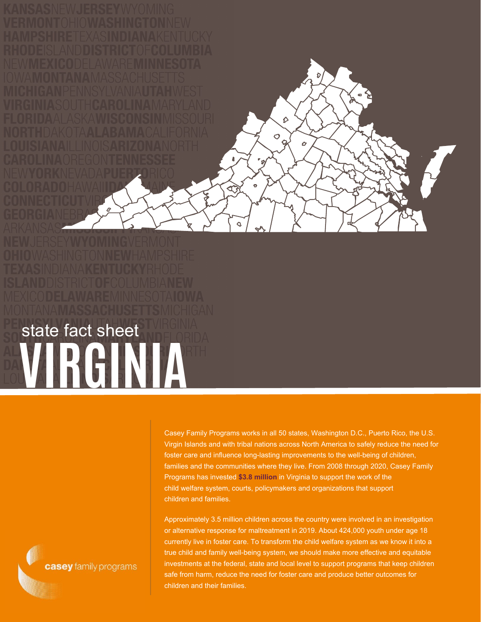**VIRGINIA** state fact sheet

> Casey Family Programs works in all 50 states, Washington D.C., Puerto Rico, the U.S. Virgin Islands and with tribal nations across North America to safely reduce the need for foster care and influence long-lasting improvements to the well-being of children, families and the communities where they live. From 2008 through 2020, Casey Family Programs has invested **\$3.8 million** in Virginia to support the work of the child welfare system, courts, policymakers and organizations that support children and families.

♦

 $\hat{\bm{C}}$ 

 $\frac{1}{9}$ 

ัด

 $\ddot{\bullet}$ 

Approximately 3.5 million children across the country were involved in an investigation or alternative response for maltreatment in 2019. About 424,000 youth under age 18 currently live in foster care. To transform the child welfare system as we know it into a true child and family well-being system, we should make more effective and equitable investments at the federal, state and local level to support programs that keep children safe from harm, reduce the need for foster care and produce better outcomes for children and their families.

casey family programs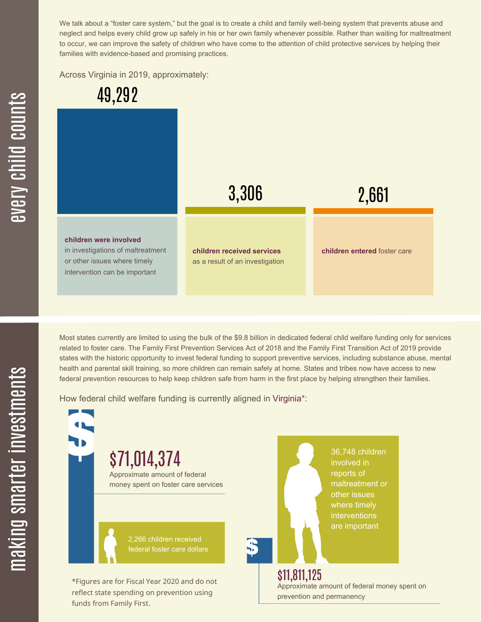We talk about a "foster care system," but the goal is to create a child and family well-being system that prevents abuse and neglect and helps every child grow up safely in his or her own family whenever possible. Rather than waiting for maltreatment to occur, we can improve the safety of children who have come to the attention of child protective services by helping their families with evidence-based and promising practices.

Across Virginia in 2019, approximately:



Most states currently are limited to using the bulk of the \$9.8 billion in dedicated federal child welfare funding only for services related to foster care. The Family First Prevention Services Act of 2018 and the Family First Transition Act of 2019 provide states with the historic opportunity to invest federal funding to support preventive services, including substance abuse, mental health and parental skill training, so more children can remain safely at home. States and tribes now have access to new federal prevention resources to help keep children safe from harm in the first place by helping strengthen their families.

How federal child welfare funding is currently aligned in Virginia\*:

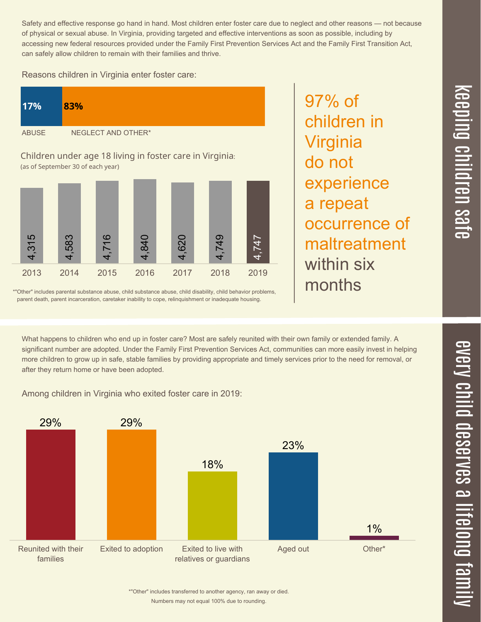Safety and effective response go hand in hand. Most children enter foster care due to neglect and other reasons — not because of physical or sexual abuse. In Virginia, providing targeted and effective interventions as soon as possible, including by accessing new federal resources provided under the Family First Prevention Services Act and the Family First Transition Act, can safely allow children to remain with their families and thrive.

97% of

Virginia

do not

children in

experience

maltreatment

a repeat

within six

months

Reasons children in Virginia enter foster care:

| 17%          | 83%                |
|--------------|--------------------|
| <b>ABUSE</b> | NEGLECT AND OTHER* |

Children under age 18 living in foster care in Virginia: (as of September 30 of each year)



\*"Other" includes parental substance abuse, child substance abuse, child disability, child behavior problems, parent death, parent incarceration, caretaker inability to cope, relinquishment or inadequate housing.

What happens to children who end up in foster care? Most are safely reunited with their own family or extended family. A

significant number are adopted. Under the Family First Prevention Services Act, communities can more easily invest in helping more children to grow up in safe, stable families by providing appropriate and timely services prior to the need for removal, or after they return home or have been adopted.

Among children in Virginia who exited foster care in 2019:



 $\overline{\phantom{1}}$  $\overline{\mathbf \Theta}$  $\overline{\mathbf{C}}$ 

Numbers may not equal 100% due to rounding. \*"Other" includes transferred to another agency, ran away or died.

 $\overline{\mathbf{C}}$  $\leq$  $\overline{\mathbf{C}}$  $\overline{\mathsf{Z}}$  $\overline{\mathbf{C}}$  $\equiv$  $\blacksquare$ e  $\mathcal{C}$  $\overline{\mathbf{C}}$  $\overline{\phantom{a}}$  $\overline{\mathbf{C}}$  $\mathcal{C}$ <u>م</u>  $\equiv$ el<br>O  $\overline{\phantom{0}}$  $\blacksquare$ t<br>B mily